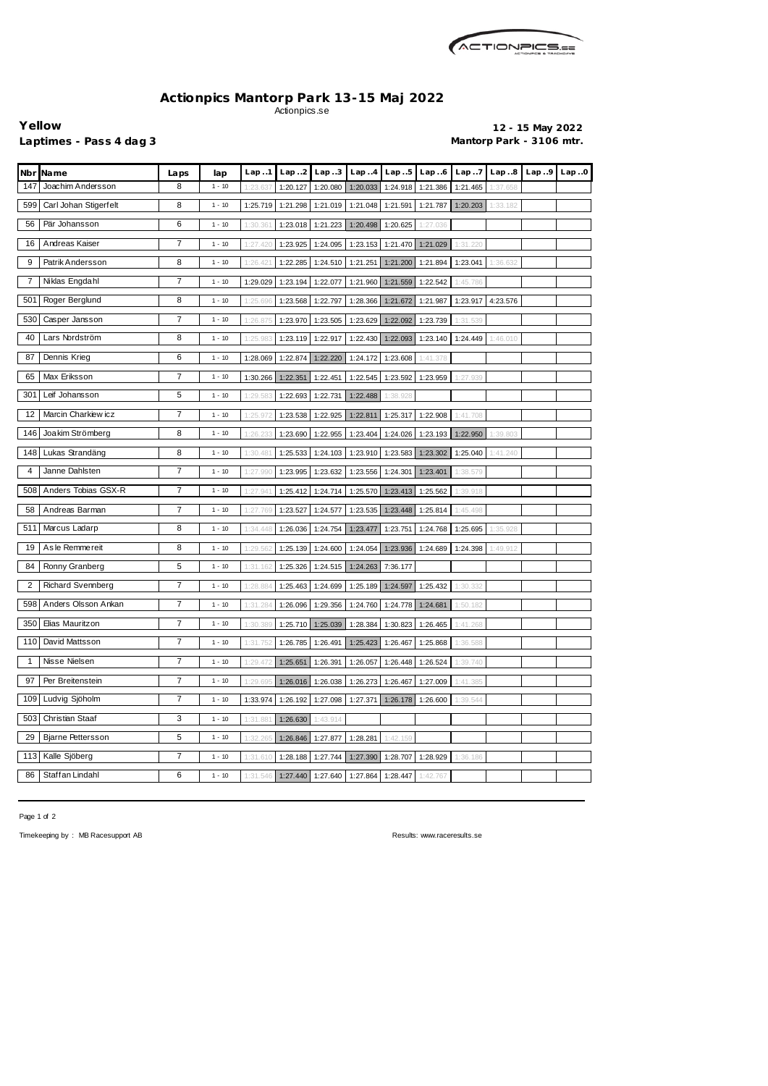

## **Actionpics Mantorp Park 13-15 Maj 2022** Actionpics.se

**Yellow 12 - 15 May 2022** Laptimes - Pass 4 dag 3 **Mantorp Park - 3106 mtr.** 

| Nbr          | Name                     | Laps           | lap      | Lap.1                                                                      | Lap.2    | Lap.3                      | Lap.4    | Lap.5             | Lap.6    | Lap.7    | Lap.8    | Lap.9 | Lap.0 |
|--------------|--------------------------|----------------|----------|----------------------------------------------------------------------------|----------|----------------------------|----------|-------------------|----------|----------|----------|-------|-------|
| 147          | Joachim Andersson        | 8              | $1 - 10$ | 1:23.63                                                                    | 1:20.127 | 1:20.080                   | 1:20.033 | 1:24.918          | 1:21.386 | 1:21.465 | 1:37.658 |       |       |
| 599          | Carl Johan Stigerfelt    | 8              | $1 - 10$ | 1:25.719                                                                   | 1:21.298 | 1:21.019                   | 1:21.048 | 1:21.591          | 1:21.787 | 1:20.203 | 1:33.182 |       |       |
| 56           | Pär Johansson            | 6              | $1 - 10$ | 1:30.36'                                                                   | 1:23.018 | 1:21.223                   | 1:20.498 | 1:20.625          | 1:27.036 |          |          |       |       |
| 16           | Andreas Kaiser           | 7              | $1 - 10$ | 1:27.420                                                                   | 1:23.925 | 1:24.095                   |          | 1:23.153 1:21.470 | 1:21.029 | 1:31.220 |          |       |       |
| 9            | Patrik Andersson         | 8              | $1 - 10$ | 1:26.42                                                                    | 1:22.285 | 1:24.510                   | 1:21.251 | 1:21.200          | 1:21.894 | 1:23.041 | 1:36.632 |       |       |
| 7            | Niklas Engdahl           | 7              | $1 - 10$ | 1:29.029                                                                   | 1:23.194 | 1:22.077                   | 1:21.960 | 1:21.559          | 1:22.542 | 1:45.786 |          |       |       |
| 501          | Roger Berglund           | 8              | $1 - 10$ | 1:25.69                                                                    | 1:23.568 | 1:22.797                   | 1:28.366 | 1:21.672          | 1:21.987 | 1:23.917 | 4:23.576 |       |       |
| 530          | Casper Jansson           | 7              | $1 - 10$ | 1:26.87                                                                    | 1:23.970 | 1:23.505                   | 1:23.629 | 1:22.092          | 1:23.739 | 1:31.539 |          |       |       |
| 40           | Lars Nordström           | 8              | $1 - 10$ | 1:25.983                                                                   | 1:23.119 | 1:22.917                   | 1:22.430 | 1:22.093          | 1:23.140 | 1:24.449 | 1:46.010 |       |       |
| 87           | Dennis Krieg             | 6              | $1 - 10$ | 1:28.069                                                                   | 1:22.874 | 1:22.220                   | 1:24.172 | 1:23.608          | 1:41.378 |          |          |       |       |
| 65           | Max Eriksson             | $\overline{7}$ | $1 - 10$ | 1:30.266                                                                   | 1:22.351 | 1:22.451                   |          | 1:22.545 1:23.592 | 1:23.959 | 1:27.939 |          |       |       |
| 301          | Leif Johansson           | 5              | $1 - 10$ | 1:29.583                                                                   | 1:22.693 | 1:22.731                   | 1:22.488 | 1:38.928          |          |          |          |       |       |
| 12           | Marcin Charkiew icz      | 7              | $1 - 10$ | 1:25.97                                                                    | 1:23.538 | 1:22.925                   | 1:22.811 | 1:25.317          | 1:22.908 | 1:41.708 |          |       |       |
| 146          | Joakim Strömberg         | 8              | $1 - 10$ | 1:26.23                                                                    | 1:23.690 | 1:22.955                   | 1:23.404 | 1:24.026          | 1:23.193 | 1:22.950 | 1:39.803 |       |       |
| 148          | Lukas Strandäng          | 8              | $1 - 10$ | 1:30.48'                                                                   | 1:25.533 | 1:24.103                   | 1:23.910 | 1:23.583          | 1:23.302 | 1:25.040 | 1:41.240 |       |       |
| 4            | Janne Dahlsten           | 7              | $1 - 10$ | 1:27.990                                                                   | 1:23.995 | 1:23.632                   | 1:23.556 | 1:24.301          | 1:23.401 | 1:38.579 |          |       |       |
| 508          | Anders Tobias GSX-R      | 7              | $1 - 10$ | 1:27.941                                                                   | 1:25.412 | 1:24.714                   |          | 1:25.570 1:23.413 | 1:25.562 | 1:39.918 |          |       |       |
| 58           | Andreas Barman           | 7              | $1 - 10$ | 1:27.769                                                                   | 1:23.527 | 1:24.577                   |          | 1:23.535 1:23.448 | 1:25.814 | 1:45.498 |          |       |       |
| 511          | Marcus Ladarp            | 8              | $1 - 10$ | 1:34.448                                                                   | 1:26.036 | 1:24.754                   | 1:23.477 | 1:23.751          | 1:24.768 | 1:25.695 | 1:35.928 |       |       |
| 19           | As le Remmereit          | 8              | $1 - 10$ | 1:29.56                                                                    | 1:25.139 | 1:24.600                   | 1:24.054 | 1:23.936          | 1:24.689 | 1:24.398 | 1:49.912 |       |       |
| 84           | Ronny Granberg           | 5              | $1 - 10$ | 1:31.162                                                                   | 1:25.326 | 1:24.515                   | 1:24.263 | 7:36.177          |          |          |          |       |       |
| 2            | <b>Richard Svennberg</b> | 7              | $1 - 10$ | 1:28.88                                                                    | 1:25.463 | 1:24.699                   | 1:25.189 | 1:24.597          | 1:25.432 | 1:30.332 |          |       |       |
| 598          | Anders Olsson Ankan      | 7              | $1 - 10$ | 1:31.284                                                                   | 1:26.096 | 1:29.356                   |          | 1:24.760 1:24.778 | 1:24.681 | 1:50.182 |          |       |       |
|              | 350 Elias Mauritzon      | 7              | $1 - 10$ | 1:30.389   1:25.710   1:25.039   1:28.384   1:30.823   1:26.465   1:41.268 |          |                            |          |                   |          |          |          |       |       |
| 110          | David Mattsson           | 7              | $1 - 10$ | 1:31.752                                                                   | 1:26.785 | 1:26.491                   | 1:25.423 | 1:26.467          | 1:25.868 | 1:36.588 |          |       |       |
| $\mathbf{1}$ | Nisse Nielsen            | $\overline{7}$ | $1 - 10$ | 1:29.472                                                                   | 1:25.651 | 1:26.391                   | 1:26.057 | 1:26.448 1:26.524 |          | 1:39.740 |          |       |       |
| 97           | Per Breitenstein         | 7              | $1 - 10$ | 1:29.695                                                                   | 1:26.016 | 1:26.038                   | 1:26.273 | 1:26.467          | 1:27.009 | 1:41.385 |          |       |       |
| 109          | Ludvig Sjöholm           | 7              | $1 - 10$ | 1:33.974                                                                   | 1:26.192 | 1:27.098                   | 1:27.371 | 1:26.178          | 1:26.600 | 1:39.544 |          |       |       |
| 503          | Christian Staaf          | 3              | $1 - 10$ | 1:31.88'                                                                   | 1:26.630 | 1:43.914                   |          |                   |          |          |          |       |       |
| 29           | <b>Bjarne Pettersson</b> | 5              | $1 - 10$ | 1:32.265                                                                   | 1:26.846 | 1:27.877                   | 1:28.281 | 1:42.159          |          |          |          |       |       |
| 113          | Kalle Sjöberg            | 7              | $1 - 10$ | 1:31.610                                                                   | 1:28.188 | 1:27.744                   |          | 1:27.390 1:28.707 | 1:28.929 | 1:36.186 |          |       |       |
| 86           | Staffan Lindahl          | 6              | $1 - 10$ | 1:31.546                                                                   | 1:27.440 | 1:27.640 1:27.864 1:28.447 |          |                   | 1:42.767 |          |          |       |       |

Page 1 of 2

Timekeeping by : MB Racesupport AB Results: <www.raceresults.se>